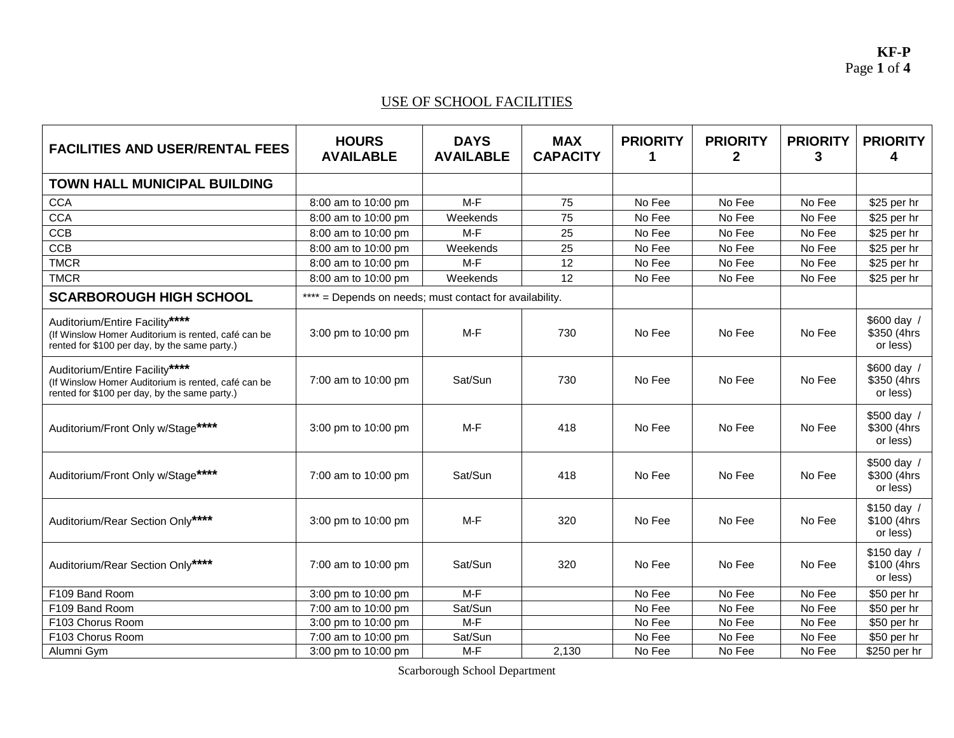#### USE OF SCHOOL FACILITIES

| <b>FACILITIES AND USER/RENTAL FEES</b>                                                                                                 | <b>HOURS</b><br><b>AVAILABLE</b>                        | <b>DAYS</b><br><b>AVAILABLE</b> | <b>MAX</b><br><b>CAPACITY</b> | <b>PRIORITY</b><br>1 | <b>PRIORITY</b><br>2 | <b>PRIORITY</b><br>3 | <b>PRIORITY</b><br>4                    |
|----------------------------------------------------------------------------------------------------------------------------------------|---------------------------------------------------------|---------------------------------|-------------------------------|----------------------|----------------------|----------------------|-----------------------------------------|
| <b>TOWN HALL MUNICIPAL BUILDING</b>                                                                                                    |                                                         |                                 |                               |                      |                      |                      |                                         |
| <b>CCA</b>                                                                                                                             | 8:00 am to 10:00 pm                                     | $M-F$                           | 75                            | No Fee               | No Fee               | No Fee               | \$25 per hr                             |
| <b>CCA</b>                                                                                                                             | 8:00 am to 10:00 pm                                     | Weekends                        | 75                            | No Fee               | No Fee               | No Fee               | \$25 per hr                             |
| <b>CCB</b>                                                                                                                             | 8:00 am to 10:00 pm                                     | $M-F$                           | 25                            | No Fee               | No Fee               | No Fee               | \$25 per hr                             |
| CCB                                                                                                                                    | 8:00 am to 10:00 pm                                     | Weekends                        | 25                            | No Fee               | No Fee               | No Fee               | \$25 per hr                             |
| <b>TMCR</b>                                                                                                                            | 8:00 am to 10:00 pm                                     | M-F                             | 12                            | No Fee               | No Fee               | No Fee               | \$25 per hr                             |
| <b>TMCR</b>                                                                                                                            | 8:00 am to 10:00 pm                                     | Weekends                        | 12                            | No Fee               | No Fee               | No Fee               | \$25 per hr                             |
| <b>SCARBOROUGH HIGH SCHOOL</b>                                                                                                         | **** = Depends on needs; must contact for availability. |                                 |                               |                      |                      |                      |                                         |
| Auditorium/Entire Facility****<br>(If Winslow Homer Auditorium is rented, café can be<br>rented for \$100 per day, by the same party.) | 3:00 pm to 10:00 pm                                     | $M-F$                           | 730                           | No Fee               | No Fee               | No Fee               | \$600 day /<br>\$350 (4hrs<br>or less)  |
| Auditorium/Entire Facility****<br>(If Winslow Homer Auditorium is rented, café can be<br>rented for \$100 per day, by the same party.) | 7:00 am to 10:00 pm                                     | Sat/Sun                         | 730                           | No Fee               | No Fee               | No Fee               | \$600 day /<br>\$350 (4hrs<br>or less)  |
| Auditorium/Front Only w/Stage****                                                                                                      | 3:00 pm to 10:00 pm                                     | M-F                             | 418                           | No Fee               | No Fee               | No Fee               | \$500 day /<br>\$300 (4hrs)<br>or less) |
| Auditorium/Front Only w/Stage****                                                                                                      | 7:00 am to 10:00 pm                                     | Sat/Sun                         | 418                           | No Fee               | No Fee               | No Fee               | \$500 day /<br>\$300 (4hrs<br>or less)  |
| Auditorium/Rear Section Only****                                                                                                       | 3:00 pm to 10:00 pm                                     | M-F                             | 320                           | No Fee               | No Fee               | No Fee               | \$150 day /<br>\$100 (4hrs)<br>or less) |
| Auditorium/Rear Section Only****                                                                                                       | 7:00 am to 10:00 pm                                     | Sat/Sun                         | 320                           | No Fee               | No Fee               | No Fee               | \$150 day /<br>\$100 (4hrs)<br>or less) |
| F109 Band Room                                                                                                                         | 3:00 pm to 10:00 pm                                     | M-F                             |                               | No Fee               | No Fee               | No Fee               | \$50 per hr                             |
| F109 Band Room                                                                                                                         | 7:00 am to 10:00 pm                                     | Sat/Sun                         |                               | No Fee               | No Fee               | No Fee               | \$50 per hr                             |
| F103 Chorus Room                                                                                                                       | 3:00 pm to 10:00 pm                                     | $M-F$                           |                               | No Fee               | No Fee               | No Fee               | \$50 per hr                             |
| F103 Chorus Room                                                                                                                       | 7:00 am to 10:00 pm                                     | Sat/Sun                         |                               | No Fee               | No Fee               | No Fee               | \$50 per hr                             |
| Alumni Gym                                                                                                                             | 3:00 pm to 10:00 pm                                     | M-F                             | 2,130                         | No Fee               | No Fee               | No Fee               | \$250 per hr                            |

Scarborough School Department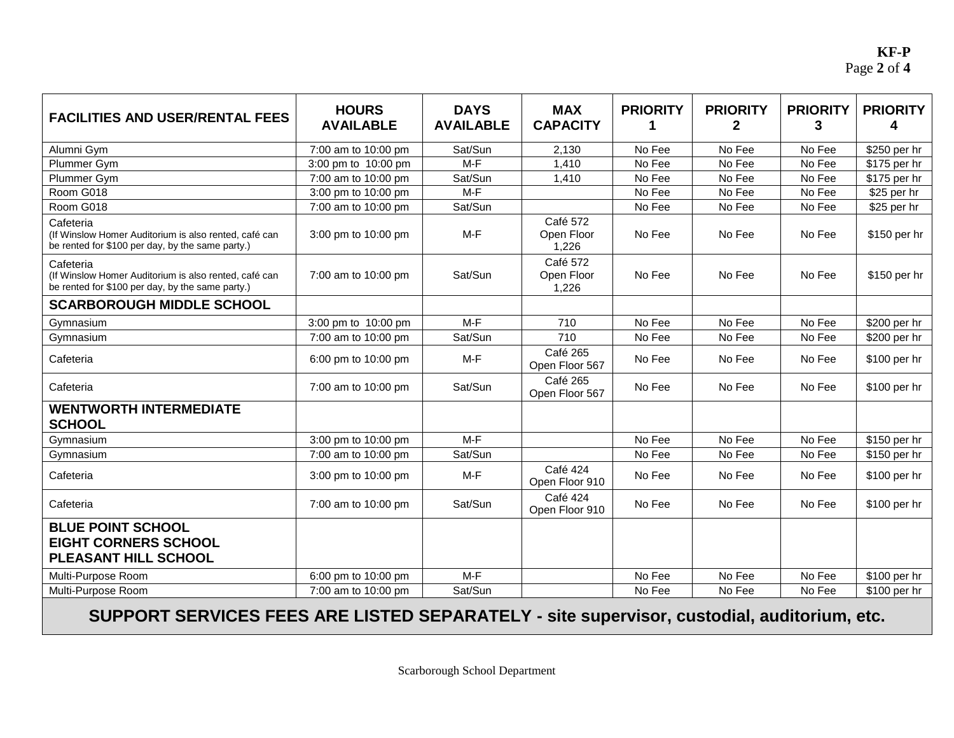**KF-P** Page **2** of **4**

| <b>FACILITIES AND USER/RENTAL FEES</b>                                                                                 | <b>HOURS</b><br><b>AVAILABLE</b> | <b>DAYS</b><br><b>AVAILABLE</b> | <b>MAX</b><br><b>CAPACITY</b>   | <b>PRIORITY</b><br>1 | <b>PRIORITY</b><br>$\overline{2}$ | <b>PRIORITY</b><br>3 | <b>PRIORITY</b><br>4 |
|------------------------------------------------------------------------------------------------------------------------|----------------------------------|---------------------------------|---------------------------------|----------------------|-----------------------------------|----------------------|----------------------|
| Alumni Gym                                                                                                             | 7:00 am to 10:00 pm              | Sat/Sun                         | 2,130                           | No Fee               | No Fee                            | No Fee               | \$250 per hr         |
| Plummer Gym                                                                                                            | 3:00 pm to 10:00 pm              | $M-F$                           | 1,410                           | No Fee               | No Fee                            | No Fee               | \$175 per hr         |
| Plummer Gym                                                                                                            | 7:00 am to 10:00 pm              | Sat/Sun                         | 1,410                           | No Fee               | No Fee                            | No Fee               | \$175 per hr         |
| Room G018                                                                                                              | 3:00 pm to 10:00 pm              | $M-F$                           |                                 | No Fee               | No Fee                            | No Fee               | \$25 per hr          |
| Room G018                                                                                                              | 7:00 am to 10:00 pm              | Sat/Sun                         |                                 | No Fee               | No Fee                            | No Fee               | \$25 per hr          |
| Cafeteria<br>(If Winslow Homer Auditorium is also rented, café can<br>be rented for \$100 per day, by the same party.) | 3:00 pm to 10:00 pm              | M-F                             | Café 572<br>Open Floor<br>1,226 | No Fee               | No Fee                            | No Fee               | \$150 per hr         |
| Cafeteria<br>(If Winslow Homer Auditorium is also rented, café can<br>be rented for \$100 per day, by the same party.) | 7:00 am to 10:00 pm              | Sat/Sun                         | Café 572<br>Open Floor<br>1,226 | No Fee               | No Fee                            | No Fee               | \$150 per hr         |
| <b>SCARBOROUGH MIDDLE SCHOOL</b>                                                                                       |                                  |                                 |                                 |                      |                                   |                      |                      |
| Gymnasium                                                                                                              | 3:00 pm to 10:00 pm              | $M-F$                           | 710                             | No Fee               | No Fee                            | No Fee               | \$200 per hr         |
| Gymnasium                                                                                                              | 7:00 am to 10:00 pm              | Sat/Sun                         | 710                             | No Fee               | No Fee                            | No Fee               | \$200 per hr         |
| Cafeteria                                                                                                              | 6:00 pm to 10:00 pm              | M-F                             | Café 265<br>Open Floor 567      | No Fee               | No Fee                            | No Fee               | \$100 per hr         |
| Cafeteria                                                                                                              | 7:00 am to 10:00 pm              | Sat/Sun                         | Café 265<br>Open Floor 567      | No Fee               | No Fee                            | No Fee               | \$100 per hr         |
| <b>WENTWORTH INTERMEDIATE</b><br><b>SCHOOL</b>                                                                         |                                  |                                 |                                 |                      |                                   |                      |                      |
| Gymnasium                                                                                                              | 3:00 pm to 10:00 pm              | $M-F$                           |                                 | No Fee               | No Fee                            | No Fee               | \$150 per hr         |
| Gymnasium                                                                                                              | 7:00 am to 10:00 pm              | Sat/Sun                         |                                 | No Fee               | No Fee                            | No Fee               | \$150 per hr         |
| Cafeteria                                                                                                              | 3:00 pm to 10:00 pm              | M-F                             | Café 424<br>Open Floor 910      | No Fee               | No Fee                            | No Fee               | \$100 per hr         |
| Cafeteria                                                                                                              | 7:00 am to 10:00 pm              | Sat/Sun                         | Café 424<br>Open Floor 910      | No Fee               | No Fee                            | No Fee               | \$100 per hr         |
| <b>BLUE POINT SCHOOL</b><br><b>EIGHT CORNERS SCHOOL</b><br>PLEASANT HILL SCHOOL                                        |                                  |                                 |                                 |                      |                                   |                      |                      |
| Multi-Purpose Room                                                                                                     | 6:00 pm to 10:00 pm              | $M-F$                           |                                 | No Fee               | No Fee                            | No Fee               | \$100 per hr         |
| Multi-Purpose Room                                                                                                     | 7:00 am to 10:00 pm              | Sat/Sun                         |                                 | No Fee               | No Fee                            | No Fee               | \$100 per hr         |

**SUPPORT SERVICES FEES ARE LISTED SEPARATELY - site supervisor, custodial, auditorium, etc.**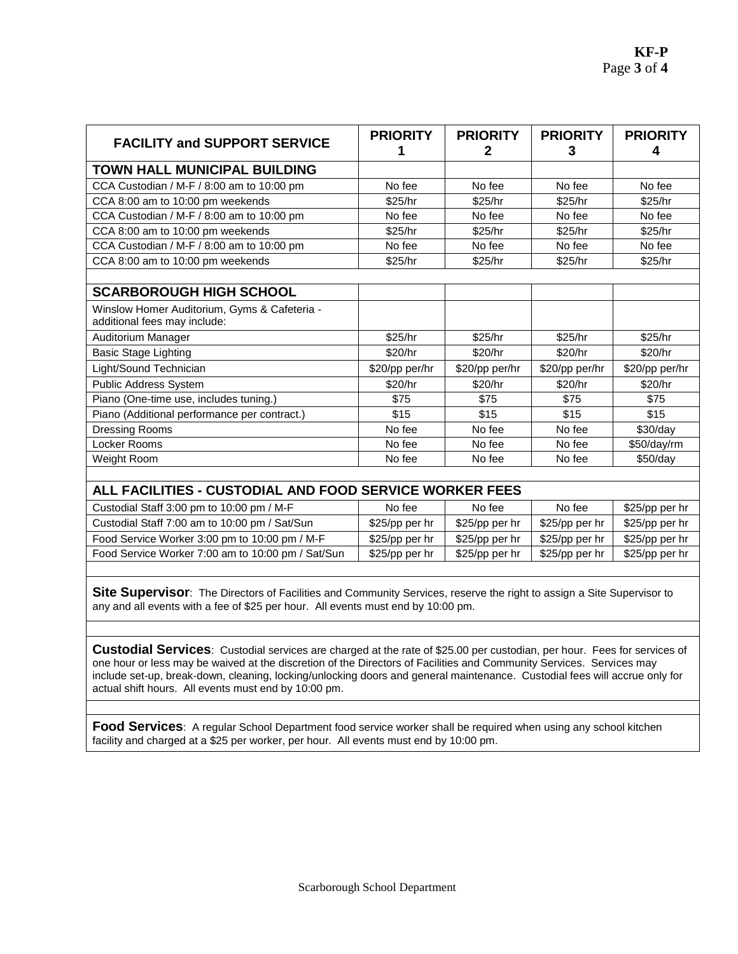| <b>FACILITY and SUPPORT SERVICE</b>                                          | <b>PRIORITY</b> | <b>PRIORITY</b><br>2 | <b>PRIORITY</b><br>3 | <b>PRIORITY</b><br>4 |
|------------------------------------------------------------------------------|-----------------|----------------------|----------------------|----------------------|
| <b>TOWN HALL MUNICIPAL BUILDING</b>                                          |                 |                      |                      |                      |
| CCA Custodian / M-F / 8:00 am to 10:00 pm                                    | No fee          | No fee               | No fee               | No fee               |
| CCA 8:00 am to 10:00 pm weekends                                             | \$25/hr         | \$25/hr              | \$25/hr              | \$25/hr              |
| CCA Custodian / M-F / 8:00 am to 10:00 pm                                    | No fee          | No fee               | No fee               | No fee               |
| CCA 8:00 am to 10:00 pm weekends                                             | \$25/hr         | \$25/hr              | \$25/hr              | \$25/hr              |
| CCA Custodian / M-F / 8:00 am to 10:00 pm                                    | No fee          | No fee               | No fee               | No fee               |
| CCA 8:00 am to 10:00 pm weekends                                             | \$25/hr         | \$25/hr              | \$25/hr              | \$25/hr              |
|                                                                              |                 |                      |                      |                      |
| <b>SCARBOROUGH HIGH SCHOOL</b>                                               |                 |                      |                      |                      |
| Winslow Homer Auditorium, Gyms & Cafeteria -<br>additional fees may include: |                 |                      |                      |                      |
| Auditorium Manager                                                           | \$25/hr         | \$25/hr              | \$25/hr              | \$25/hr              |
| <b>Basic Stage Lighting</b>                                                  | \$20/hr         | \$20/hr              | \$20/hr              | \$20/hr              |
| Light/Sound Technician                                                       | \$20/pp per/hr  | \$20/pp per/hr       | \$20/pp per/hr       | \$20/pp per/hr       |
| Public Address System                                                        | \$20/hr         | \$20/hr              | \$20/hr              | \$20/hr              |
| Piano (One-time use, includes tuning.)                                       | \$75            | \$75                 | \$75                 | \$75                 |
| Piano (Additional performance per contract.)                                 | \$15            | \$15                 | \$15                 | \$15                 |
| Dressing Rooms                                                               | No fee          | No fee               | No fee               | \$30/day             |
| Locker Rooms                                                                 | No fee          | No fee               | No fee               | \$50/day/rm          |
| Weight Room                                                                  | No fee          | No fee               | No fee               | \$50/day             |

|                |                | No fee         | \$25/pp per hr |
|----------------|----------------|----------------|----------------|
| \$25/pp per hr | \$25/pp per hr | \$25/pp per hr | \$25/pp per hr |
| \$25/pp per hr | \$25/pp per hr | \$25/pp per hr | \$25/pp per hr |
| \$25/pp per hr | \$25/pp per hr | \$25/pp per hr | \$25/pp per hr |
|                |                |                |                |

**Site Supervisor**: The Directors of Facilities and Community Services, reserve the right to assign a Site Supervisor to any and all events with a fee of \$25 per hour. All events must end by 10:00 pm.

**Custodial Services**: Custodial services are charged at the rate of \$25.00 per custodian, per hour. Fees for services of one hour or less may be waived at the discretion of the Directors of Facilities and Community Services. Services may include set-up, break-down, cleaning, locking/unlocking doors and general maintenance. Custodial fees will accrue only for actual shift hours. All events must end by 10:00 pm.

**Food Services**: A regular School Department food service worker shall be required when using any school kitchen facility and charged at a \$25 per worker, per hour. All events must end by 10:00 pm.